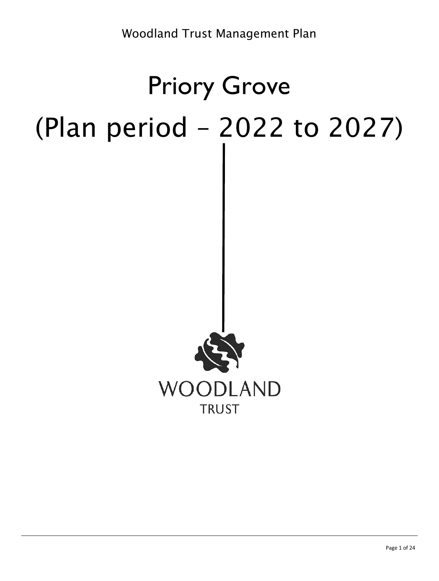# Priory Grove (Plan period – 2022 to 2027)

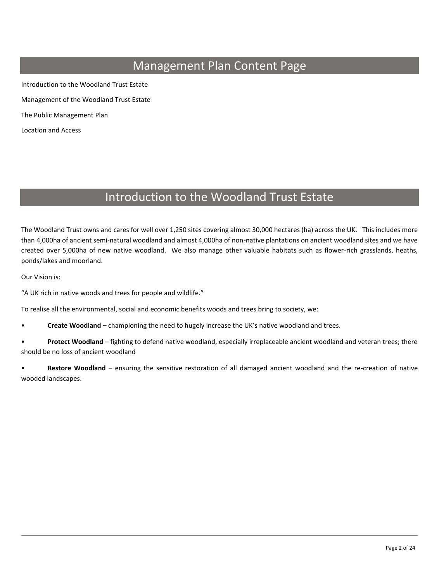# Management Plan Content Page

Introduction to the Woodland Trust Estate Management of the Woodland Trust Estate The Public Management Plan Location and Access

# Introduction to the Woodland Trust Estate

The Woodland Trust owns and cares for well over 1,250 sites covering almost 30,000 hectares (ha) across the UK. This includes more than 4,000ha of ancient semi-natural woodland and almost 4,000ha of non-native plantations on ancient woodland sites and we have created over 5,000ha of new native woodland. We also manage other valuable habitats such as flower-rich grasslands, heaths, ponds/lakes and moorland.

Our Vision is:

"A UK rich in native woods and trees for people and wildlife."

To realise all the environmental, social and economic benefits woods and trees bring to society, we:

• **Create Woodland** – championing the need to hugely increase the UK's native woodland and trees.

• **Protect Woodland** – fighting to defend native woodland, especially irreplaceable ancient woodland and veteran trees; there should be no loss of ancient woodland

• **Restore Woodland** – ensuring the sensitive restoration of all damaged ancient woodland and the re-creation of native wooded landscapes.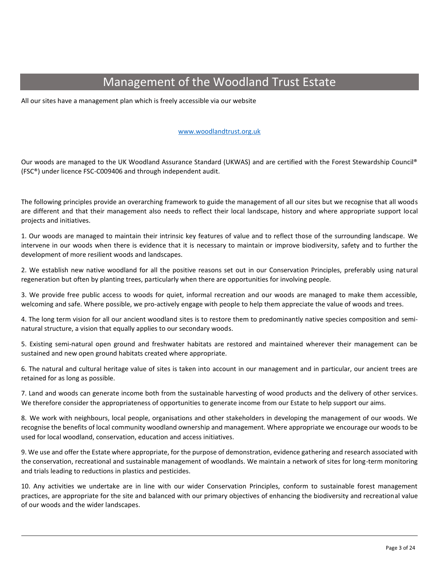# Management of the Woodland Trust Estate

All our sites have a management plan which is freely accessible via our website

#### [www.woodlandtrust.org.uk](http://www.woodlandtrust.org.uk/)

Our woods are managed to the UK Woodland Assurance Standard (UKWAS) and are certified with the Forest Stewardship Council® (FSC®) under licence FSC-C009406 and through independent audit.

The following principles provide an overarching framework to guide the management of all our sites but we recognise that all woods are different and that their management also needs to reflect their local landscape, history and where appropriate support local projects and initiatives.

1. Our woods are managed to maintain their intrinsic key features of value and to reflect those of the surrounding landscape. We intervene in our woods when there is evidence that it is necessary to maintain or improve biodiversity, safety and to further the development of more resilient woods and landscapes.

2. We establish new native woodland for all the positive reasons set out in our Conservation Principles, preferably using natural regeneration but often by planting trees, particularly when there are opportunities for involving people.

3. We provide free public access to woods for quiet, informal recreation and our woods are managed to make them accessible, welcoming and safe. Where possible, we pro-actively engage with people to help them appreciate the value of woods and trees.

4. The long term vision for all our ancient woodland sites is to restore them to predominantly native species composition and seminatural structure, a vision that equally applies to our secondary woods.

5. Existing semi-natural open ground and freshwater habitats are restored and maintained wherever their management can be sustained and new open ground habitats created where appropriate.

6. The natural and cultural heritage value of sites is taken into account in our management and in particular, our ancient trees are retained for as long as possible.

7. Land and woods can generate income both from the sustainable harvesting of wood products and the delivery of other services. We therefore consider the appropriateness of opportunities to generate income from our Estate to help support our aims.

8. We work with neighbours, local people, organisations and other stakeholders in developing the management of our woods. We recognise the benefits of local community woodland ownership and management. Where appropriate we encourage our woods to be used for local woodland, conservation, education and access initiatives.

9. We use and offer the Estate where appropriate, for the purpose of demonstration, evidence gathering and research associated with the conservation, recreational and sustainable management of woodlands. We maintain a network of sites for long-term monitoring and trials leading to reductions in plastics and pesticides.

10. Any activities we undertake are in line with our wider Conservation Principles, conform to sustainable forest management practices, are appropriate for the site and balanced with our primary objectives of enhancing the biodiversity and recreational value of our woods and the wider landscapes.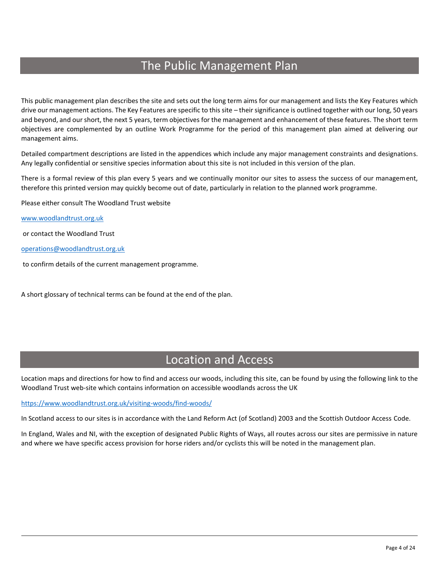# The Public Management Plan

This public management plan describes the site and sets out the long term aims for our management and lists the Key Features which drive our management actions. The Key Features are specific to this site – their significance is outlined together with our long, 50 years and beyond, and our short, the next 5 years, term objectives for the management and enhancement of these features. The short term objectives are complemented by an outline Work Programme for the period of this management plan aimed at delivering our management aims.

Detailed compartment descriptions are listed in the appendices which include any major management constraints and designations. Any legally confidential or sensitive species information about this site is not included in this version of the plan.

There is a formal review of this plan every 5 years and we continually monitor our sites to assess the success of our management, therefore this printed version may quickly become out of date, particularly in relation to the planned work programme.

Please either consult The Woodland Trust website

[www.woodlandtrust.org.uk](http://www.woodlandtrust.org.uk/)

or contact the Woodland Trust

[operations@woodlandtrust.org.uk](mailto:operations@woodlandtrust.org.uk)

to confirm details of the current management programme.

A short glossary of technical terms can be found at the end of the plan.

# Location and Access

Location maps and directions for how to find and access our woods, including this site, can be found by using the following link to the Woodland Trust web-site which contains information on accessible woodlands across the UK

<https://www.woodlandtrust.org.uk/visiting-woods/find-woods/>

In Scotland access to our sites is in accordance with the Land Reform Act (of Scotland) 2003 and the Scottish Outdoor Access Code.

In England, Wales and NI, with the exception of designated Public Rights of Ways, all routes across our sites are permissive in nature and where we have specific access provision for horse riders and/or cyclists this will be noted in the management plan.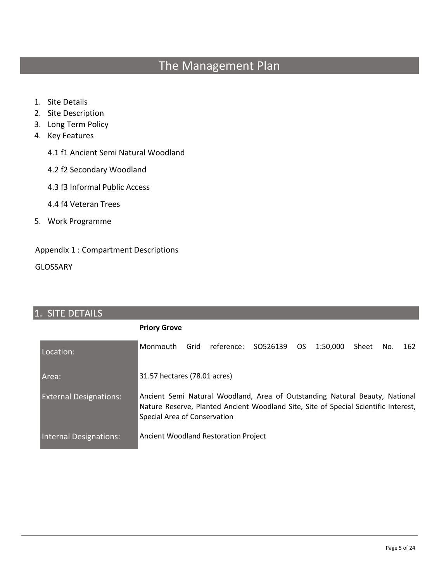# The Management Plan

- 1. Site Details
- 2. Site Description
- 3. Long Term Policy
- 4. Key Features
	- 4.1 f1 Ancient Semi Natural Woodland
	- 4.2 f2 Secondary Woodland
	- 4.3 f3 Informal Public Access
	- 4.4 f4 Veteran Trees
- 5. Work Programme

# Appendix 1 : Compartment Descriptions

**GLOSSARY** 

# 1. SITE DETAILS **Priory Grove** Location: Monmouth Grid reference: SO526139 OS 1:50,000 Sheet No. 162 Area: 31.57 hectares (78.01 acres) External Designations: Ancient Semi Natural Woodland, Area of Outstanding Natural Beauty, National Nature Reserve, Planted Ancient Woodland Site, Site of Special Scientific Interest, Special Area of Conservation Internal Designations: Ancient Woodland Restoration Project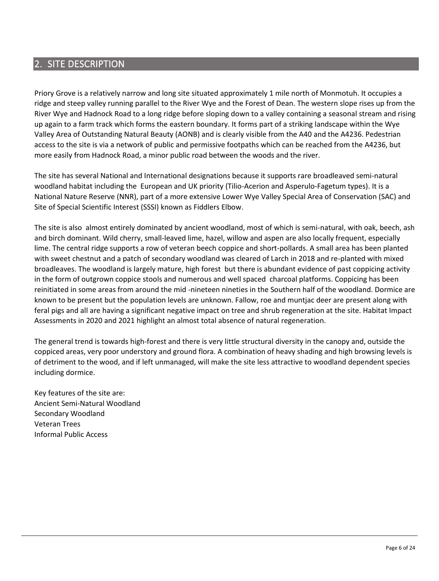# 2. SITE DESCRIPTION

Priory Grove is a relatively narrow and long site situated approximately 1 mile north of Monmotuh. It occupies a ridge and steep valley running parallel to the River Wye and the Forest of Dean. The western slope rises up from the River Wye and Hadnock Road to a long ridge before sloping down to a valley containing a seasonal stream and rising up again to a farm track which forms the eastern boundary. It forms part of a striking landscape within the Wye Valley Area of Outstanding Natural Beauty (AONB) and is clearly visible from the A40 and the A4236. Pedestrian access to the site is via a network of public and permissive footpaths which can be reached from the A4236, but more easily from Hadnock Road, a minor public road between the woods and the river.

The site has several National and International designations because it supports rare broadleaved semi-natural woodland habitat including the European and UK priority (Tilio-Acerion and Asperulo-Fagetum types). It is a National Nature Reserve (NNR), part of a more extensive Lower Wye Valley Special Area of Conservation (SAC) and Site of Special Scientific Interest (SSSI) known as Fiddlers Elbow.

The site is also almost entirely dominated by ancient woodland, most of which is semi-natural, with oak, beech, ash and birch dominant. Wild cherry, small-leaved lime, hazel, willow and aspen are also locally frequent, especially lime. The central ridge supports a row of veteran beech coppice and short-pollards. A small area has been planted with sweet chestnut and a patch of secondary woodland was cleared of Larch in 2018 and re-planted with mixed broadleaves. The woodland is largely mature, high forest but there is abundant evidence of past coppicing activity in the form of outgrown coppice stools and numerous and well spaced charcoal platforms. Coppicing has been reinitiated in some areas from around the mid -nineteen nineties in the Southern half of the woodland. Dormice are known to be present but the population levels are unknown. Fallow, roe and muntjac deer are present along with feral pigs and all are having a significant negative impact on tree and shrub regeneration at the site. Habitat Impact Assessments in 2020 and 2021 highlight an almost total absence of natural regeneration.

The general trend is towards high-forest and there is very little structural diversity in the canopy and, outside the coppiced areas, very poor understory and ground flora. A combination of heavy shading and high browsing levels is of detriment to the wood, and if left unmanaged, will make the site less attractive to woodland dependent species including dormice.

Key features of the site are: Ancient Semi-Natural Woodland Secondary Woodland Veteran Trees Informal Public Access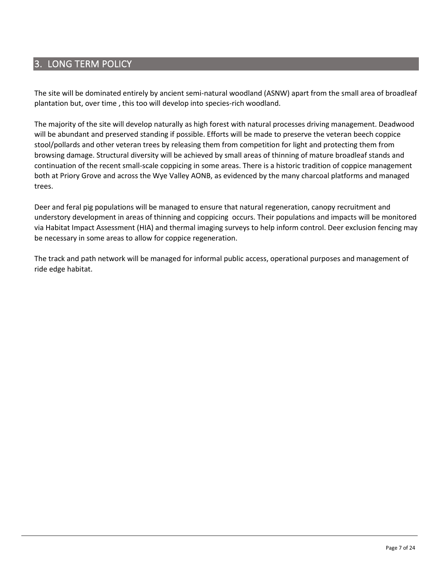# 3. LONG TERM POLICY

The site will be dominated entirely by ancient semi-natural woodland (ASNW) apart from the small area of broadleaf plantation but, over time , this too will develop into species-rich woodland.

The majority of the site will develop naturally as high forest with natural processes driving management. Deadwood will be abundant and preserved standing if possible. Efforts will be made to preserve the veteran beech coppice stool/pollards and other veteran trees by releasing them from competition for light and protecting them from browsing damage. Structural diversity will be achieved by small areas of thinning of mature broadleaf stands and continuation of the recent small-scale coppicing in some areas. There is a historic tradition of coppice management both at Priory Grove and across the Wye Valley AONB, as evidenced by the many charcoal platforms and managed trees.

Deer and feral pig populations will be managed to ensure that natural regeneration, canopy recruitment and understory development in areas of thinning and coppicing occurs. Their populations and impacts will be monitored via Habitat Impact Assessment (HIA) and thermal imaging surveys to help inform control. Deer exclusion fencing may be necessary in some areas to allow for coppice regeneration.

The track and path network will be managed for informal public access, operational purposes and management of ride edge habitat.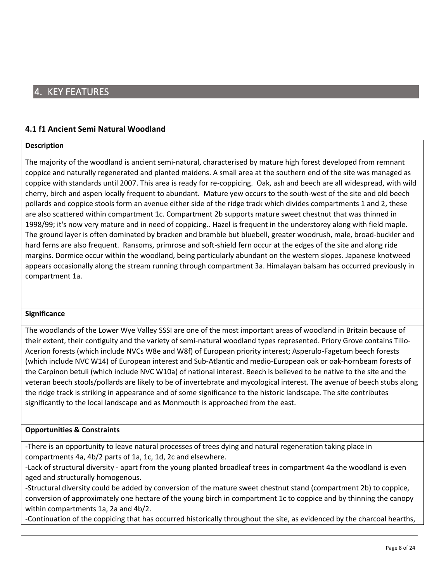# **4.1 f1 Ancient Semi Natural Woodland**

### **Description**

The majority of the woodland is ancient semi-natural, characterised by mature high forest developed from remnant coppice and naturally regenerated and planted maidens. A small area at the southern end of the site was managed as coppice with standards until 2007. This area is ready for re-coppicing. Oak, ash and beech are all widespread, with wild cherry, birch and aspen locally frequent to abundant. Mature yew occurs to the south-west of the site and old beech pollards and coppice stools form an avenue either side of the ridge track which divides compartments 1 and 2, these are also scattered within compartment 1c. Compartment 2b supports mature sweet chestnut that was thinned in 1998/99; it's now very mature and in need of coppicing.. Hazel is frequent in the understorey along with field maple. The ground layer is often dominated by bracken and bramble but bluebell, greater woodrush, male, broad-buckler and hard ferns are also frequent. Ransoms, primrose and soft-shield fern occur at the edges of the site and along ride margins. Dormice occur within the woodland, being particularly abundant on the western slopes. Japanese knotweed appears occasionally along the stream running through compartment 3a. Himalayan balsam has occurred previously in compartment 1a.

### **Significance**

The woodlands of the Lower Wye Valley SSSI are one of the most important areas of woodland in Britain because of their extent, their contiguity and the variety of semi-natural woodland types represented. Priory Grove contains Tilio-Acerion forests (which include NVCs W8e and W8f) of European priority interest; Asperulo-Fagetum beech forests (which include NVC W14) of European interest and Sub-Atlantic and medio-European oak or oak-hornbeam forests of the Carpinon betuli (which include NVC W10a) of national interest. Beech is believed to be native to the site and the veteran beech stools/pollards are likely to be of invertebrate and mycological interest. The avenue of beech stubs along the ridge track is striking in appearance and of some significance to the historic landscape. The site contributes significantly to the local landscape and as Monmouth is approached from the east.

### **Opportunities & Constraints**

-There is an opportunity to leave natural processes of trees dying and natural regeneration taking place in compartments 4a, 4b/2 parts of 1a, 1c, 1d, 2c and elsewhere.

-Lack of structural diversity - apart from the young planted broadleaf trees in compartment 4a the woodland is even aged and structurally homogenous.

-Structural diversity could be added by conversion of the mature sweet chestnut stand (compartment 2b) to coppice, conversion of approximately one hectare of the young birch in compartment 1c to coppice and by thinning the canopy within compartments 1a, 2a and 4b/2.

-Continuation of the coppicing that has occurred historically throughout the site, as evidenced by the charcoal hearths,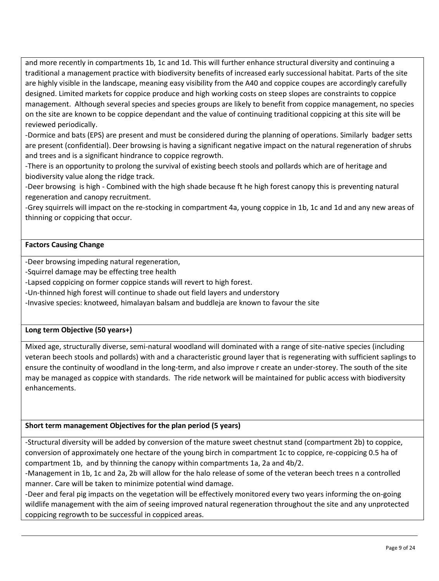and more recently in compartments 1b, 1c and 1d. This will further enhance structural diversity and continuing a traditional a management practice with biodiversity benefits of increased early successional habitat. Parts of the site are highly visible in the landscape, meaning easy visibility from the A40 and coppice coupes are accordingly carefully designed. Limited markets for coppice produce and high working costs on steep slopes are constraints to coppice management. Although several species and species groups are likely to benefit from coppice management, no species on the site are known to be coppice dependant and the value of continuing traditional coppicing at this site will be reviewed periodically.

-Dormice and bats (EPS) are present and must be considered during the planning of operations. Similarly badger setts are present (confidential). Deer browsing is having a significant negative impact on the natural regeneration of shrubs and trees and is a significant hindrance to coppice regrowth.

-There is an opportunity to prolong the survival of existing beech stools and pollards which are of heritage and biodiversity value along the ridge track.

-Deer browsing is high - Combined with the high shade because ft he high forest canopy this is preventing natural regeneration and canopy recruitment.

-Grey squirrels will impact on the re-stocking in compartment 4a, young coppice in 1b, 1c and 1d and any new areas of thinning or coppicing that occur.

# **Factors Causing Change**

-Deer browsing impeding natural regeneration,

-Squirrel damage may be effecting tree health

-Lapsed coppicing on former coppice stands will revert to high forest.

-Un-thinned high forest will continue to shade out field layers and understory

-Invasive species: knotweed, himalayan balsam and buddleja are known to favour the site

### **Long term Objective (50 years+)**

Mixed age, structurally diverse, semi-natural woodland will dominated with a range of site-native species (including veteran beech stools and pollards) with and a characteristic ground layer that is regenerating with sufficient saplings to ensure the continuity of woodland in the long-term, and also improve r create an under-storey. The south of the site may be managed as coppice with standards. The ride network will be maintained for public access with biodiversity enhancements.

# **Short term management Objectives for the plan period (5 years)**

-Structural diversity will be added by conversion of the mature sweet chestnut stand (compartment 2b) to coppice, conversion of approximately one hectare of the young birch in compartment 1c to coppice, re-coppicing 0.5 ha of compartment 1b, and by thinning the canopy within compartments 1a, 2a and 4b/2.

-Management in 1b, 1c and 2a, 2b will allow for the halo release of some of the veteran beech trees n a controlled manner. Care will be taken to minimize potential wind damage.

-Deer and feral pig impacts on the vegetation will be effectively monitored every two years informing the on-going wildlife management with the aim of seeing improved natural regeneration throughout the site and any unprotected coppicing regrowth to be successful in coppiced areas.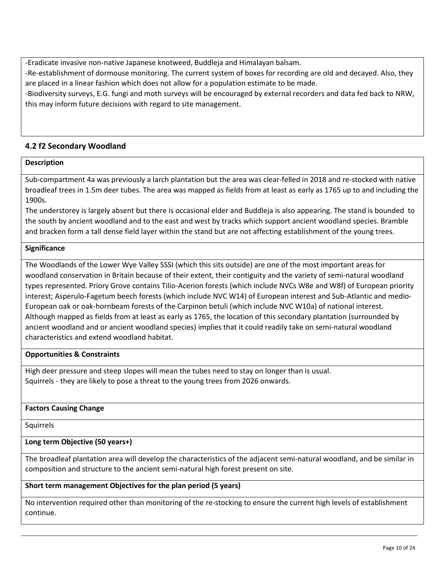-Eradicate invasive non-native Japanese knotweed, Buddleja and Himalayan balsam.

-Re-establishment of dormouse monitoring. The current system of boxes for recording are old and decayed. Also, they are placed in a linear fashion which does not allow for a population estimate to be made.

-Biodiversity surveys, E.G. fungi and moth surveys will be encouraged by external recorders and data fed back to NRW, this may inform future decisions with regard to site management.

# **4.2 f2 Secondary Woodland**

# **Description**

Sub-compartment 4a was previously a larch plantation but the area was clear-felled in 2018 and re-stocked with native broadleaf trees in 1.5m deer tubes. The area was mapped as fields from at least as early as 1765 up to and including the 1900s.

The understorey is largely absent but there is occasional elder and Buddleja is also appearing. The stand is bounded to the south by ancient woodland and to the east and west by tracks which support ancient woodland species. Bramble and bracken form a tall dense field layer within the stand but are not affecting establishment of the young trees.

### **Significance**

The Woodlands of the Lower Wye Valley SSSI (which this sits outside) are one of the most important areas for woodland conservation in Britain because of their extent, their contiguity and the variety of semi-natural woodland types represented. Priory Grove contains Tilio-Acerion forests (which include NVCs W8e and W8f) of European priority interest; Asperulo-Fagetum beech forests (which include NVC W14) of European interest and Sub-Atlantic and medio-European oak or oak-hornbeam forests of the Carpinon betuli (which include NVC W10a) of national interest. Although mapped as fields from at least as early as 1765, the location of this secondary plantation (surrounded by ancient woodland and or ancient woodland species) implies that it could readily take on semi-natural woodland characteristics and extend woodland habitat.

# **Opportunities & Constraints**

High deer pressure and steep slopes will mean the tubes need to stay on longer than is usual. Squirrels - they are likely to pose a threat to the young trees from 2026 onwards.

### **Factors Causing Change**

Squirrels

# **Long term Objective (50 years+)**

The broadleaf plantation area will develop the characteristics of the adjacent semi-natural woodland, and be similar in composition and structure to the ancient semi-natural high forest present on site.

# **Short term management Objectives for the plan period (5 years)**

No intervention required other than monitoring of the re-stocking to ensure the current high levels of establishment continue.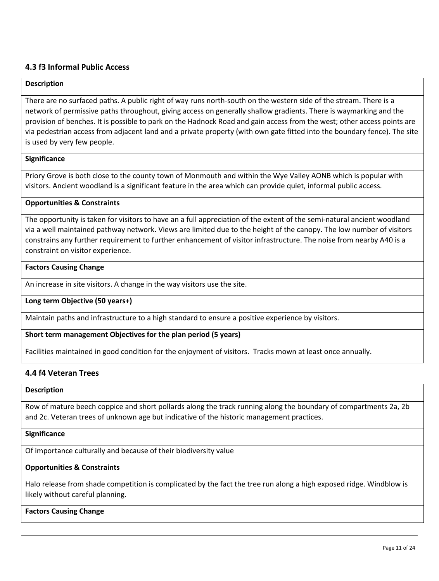# **4.3 f3 Informal Public Access**

#### **Description**

There are no surfaced paths. A public right of way runs north-south on the western side of the stream. There is a network of permissive paths throughout, giving access on generally shallow gradients. There is waymarking and the provision of benches. It is possible to park on the Hadnock Road and gain access from the west; other access points are via pedestrian access from adjacent land and a private property (with own gate fitted into the boundary fence). The site is used by very few people.

#### **Significance**

Priory Grove is both close to the county town of Monmouth and within the Wye Valley AONB which is popular with visitors. Ancient woodland is a significant feature in the area which can provide quiet, informal public access.

#### **Opportunities & Constraints**

The opportunity is taken for visitors to have an a full appreciation of the extent of the semi-natural ancient woodland via a well maintained pathway network. Views are limited due to the height of the canopy. The low number of visitors constrains any further requirement to further enhancement of visitor infrastructure. The noise from nearby A40 is a constraint on visitor experience.

#### **Factors Causing Change**

An increase in site visitors. A change in the way visitors use the site.

### **Long term Objective (50 years+)**

Maintain paths and infrastructure to a high standard to ensure a positive experience by visitors.

**Short term management Objectives for the plan period (5 years)**

Facilities maintained in good condition for the enjoyment of visitors. Tracks mown at least once annually.

### **4.4 f4 Veteran Trees**

#### **Description**

Row of mature beech coppice and short pollards along the track running along the boundary of compartments 2a, 2b and 2c. Veteran trees of unknown age but indicative of the historic management practices.

#### **Significance**

Of importance culturally and because of their biodiversity value

# **Opportunities & Constraints**

Halo release from shade competition is complicated by the fact the tree run along a high exposed ridge. Windblow is likely without careful planning.

# **Factors Causing Change**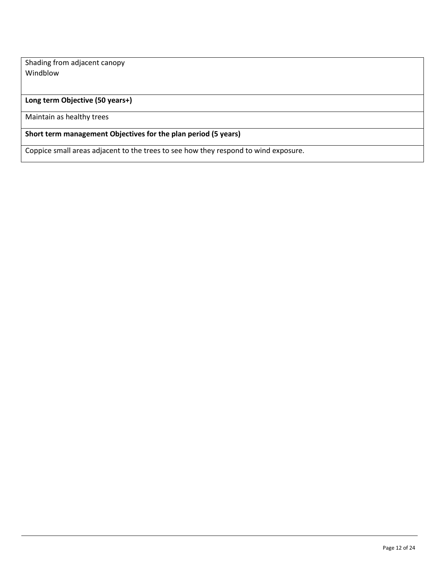Shading from adjacent canopy Windblow

# **Long term Objective (50 years+)**

Maintain as healthy trees

# **Short term management Objectives for the plan period (5 years)**

Coppice small areas adjacent to the trees to see how they respond to wind exposure.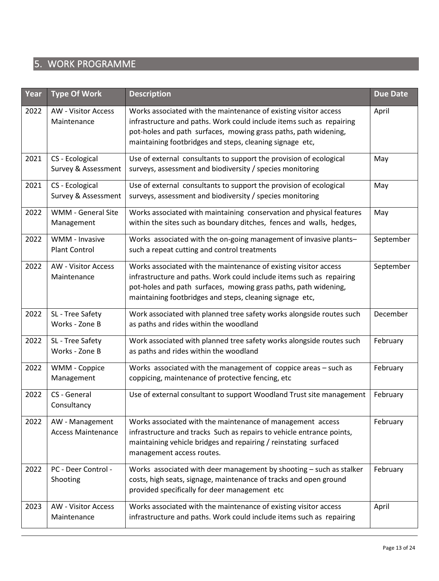# 5. WORK PROGRAMME

| Year | <b>Type Of Work</b>                          | <b>Description</b>                                                                                                                                                                                                                                                      | <b>Due Date</b> |
|------|----------------------------------------------|-------------------------------------------------------------------------------------------------------------------------------------------------------------------------------------------------------------------------------------------------------------------------|-----------------|
| 2022 | <b>AW - Visitor Access</b><br>Maintenance    | Works associated with the maintenance of existing visitor access<br>infrastructure and paths. Work could include items such as repairing<br>pot-holes and path surfaces, mowing grass paths, path widening,<br>maintaining footbridges and steps, cleaning signage etc, | April           |
| 2021 | CS - Ecological<br>Survey & Assessment       | Use of external consultants to support the provision of ecological<br>surveys, assessment and biodiversity / species monitoring                                                                                                                                         | May             |
| 2021 | CS - Ecological<br>Survey & Assessment       | Use of external consultants to support the provision of ecological<br>surveys, assessment and biodiversity / species monitoring                                                                                                                                         | May             |
| 2022 | WMM - General Site<br>Management             | Works associated with maintaining conservation and physical features<br>within the sites such as boundary ditches, fences and walls, hedges,                                                                                                                            | May             |
| 2022 | WMM - Invasive<br><b>Plant Control</b>       | Works associated with the on-going management of invasive plants-<br>such a repeat cutting and control treatments                                                                                                                                                       | September       |
| 2022 | <b>AW - Visitor Access</b><br>Maintenance    | Works associated with the maintenance of existing visitor access<br>infrastructure and paths. Work could include items such as repairing<br>pot-holes and path surfaces, mowing grass paths, path widening,<br>maintaining footbridges and steps, cleaning signage etc, | September       |
| 2022 | SL - Tree Safety<br>Works - Zone B           | Work associated with planned tree safety works alongside routes such<br>as paths and rides within the woodland                                                                                                                                                          | December        |
| 2022 | SL - Tree Safety<br>Works - Zone B           | Work associated with planned tree safety works alongside routes such<br>as paths and rides within the woodland                                                                                                                                                          | February        |
| 2022 | WMM - Coppice<br>Management                  | Works associated with the management of coppice areas - such as<br>coppicing, maintenance of protective fencing, etc                                                                                                                                                    | February        |
| 2022 | CS - General<br>Consultancy                  | Use of external consultant to support Woodland Trust site management                                                                                                                                                                                                    | February        |
| 2022 | AW - Management<br><b>Access Maintenance</b> | Works associated with the maintenance of management access<br>infrastructure and tracks Such as repairs to vehicle entrance points,<br>maintaining vehicle bridges and repairing / reinstating surfaced<br>management access routes.                                    | February        |
| 2022 | PC - Deer Control -<br>Shooting              | Works associated with deer management by shooting - such as stalker<br>costs, high seats, signage, maintenance of tracks and open ground<br>provided specifically for deer management etc                                                                               | February        |
| 2023 | <b>AW - Visitor Access</b><br>Maintenance    | Works associated with the maintenance of existing visitor access<br>infrastructure and paths. Work could include items such as repairing                                                                                                                                | April           |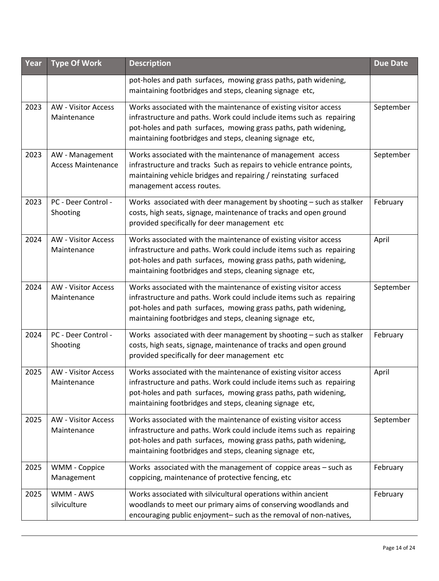| Year | <b>Type Of Work</b>                          | <b>Description</b>                                                                                                                                                                                                                                                      | <b>Due Date</b> |
|------|----------------------------------------------|-------------------------------------------------------------------------------------------------------------------------------------------------------------------------------------------------------------------------------------------------------------------------|-----------------|
|      |                                              | pot-holes and path surfaces, mowing grass paths, path widening,<br>maintaining footbridges and steps, cleaning signage etc,                                                                                                                                             |                 |
| 2023 | <b>AW - Visitor Access</b><br>Maintenance    | Works associated with the maintenance of existing visitor access<br>infrastructure and paths. Work could include items such as repairing<br>pot-holes and path surfaces, mowing grass paths, path widening,<br>maintaining footbridges and steps, cleaning signage etc, | September       |
| 2023 | AW - Management<br><b>Access Maintenance</b> | Works associated with the maintenance of management access<br>infrastructure and tracks Such as repairs to vehicle entrance points,<br>maintaining vehicle bridges and repairing / reinstating surfaced<br>management access routes.                                    | September       |
| 2023 | PC - Deer Control -<br>Shooting              | Works associated with deer management by shooting - such as stalker<br>costs, high seats, signage, maintenance of tracks and open ground<br>provided specifically for deer management etc                                                                               | February        |
| 2024 | <b>AW - Visitor Access</b><br>Maintenance    | Works associated with the maintenance of existing visitor access<br>infrastructure and paths. Work could include items such as repairing<br>pot-holes and path surfaces, mowing grass paths, path widening,<br>maintaining footbridges and steps, cleaning signage etc, | April           |
| 2024 | <b>AW - Visitor Access</b><br>Maintenance    | Works associated with the maintenance of existing visitor access<br>infrastructure and paths. Work could include items such as repairing<br>pot-holes and path surfaces, mowing grass paths, path widening,<br>maintaining footbridges and steps, cleaning signage etc, | September       |
| 2024 | PC - Deer Control -<br>Shooting              | Works associated with deer management by shooting - such as stalker<br>costs, high seats, signage, maintenance of tracks and open ground<br>provided specifically for deer management etc                                                                               | February        |
| 2025 | <b>AW - Visitor Access</b><br>Maintenance    | Works associated with the maintenance of existing visitor access<br>infrastructure and paths. Work could include items such as repairing<br>pot-holes and path surfaces, mowing grass paths, path widening,<br>maintaining footbridges and steps, cleaning signage etc, | April           |
| 2025 | <b>AW - Visitor Access</b><br>Maintenance    | Works associated with the maintenance of existing visitor access<br>infrastructure and paths. Work could include items such as repairing<br>pot-holes and path surfaces, mowing grass paths, path widening,<br>maintaining footbridges and steps, cleaning signage etc, | September       |
| 2025 | WMM - Coppice<br>Management                  | Works associated with the management of coppice areas - such as<br>coppicing, maintenance of protective fencing, etc                                                                                                                                                    | February        |
| 2025 | WMM - AWS<br>silviculture                    | Works associated with silvicultural operations within ancient<br>woodlands to meet our primary aims of conserving woodlands and<br>encouraging public enjoyment- such as the removal of non-natives,                                                                    | February        |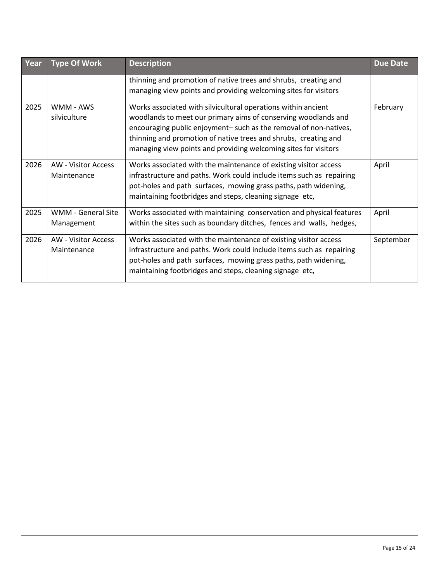| Year | <b>Type Of Work</b>                     | <b>Description</b>                                                                                                                                                                                                                                                                                                                         | <b>Due Date</b> |
|------|-----------------------------------------|--------------------------------------------------------------------------------------------------------------------------------------------------------------------------------------------------------------------------------------------------------------------------------------------------------------------------------------------|-----------------|
|      |                                         | thinning and promotion of native trees and shrubs, creating and<br>managing view points and providing welcoming sites for visitors                                                                                                                                                                                                         |                 |
| 2025 | WMM - AWS<br>silviculture               | Works associated with silvicultural operations within ancient<br>woodlands to meet our primary aims of conserving woodlands and<br>encouraging public enjoyment- such as the removal of non-natives,<br>thinning and promotion of native trees and shrubs, creating and<br>managing view points and providing welcoming sites for visitors | February        |
| 2026 | AW - Visitor Access<br>Maintenance      | Works associated with the maintenance of existing visitor access<br>infrastructure and paths. Work could include items such as repairing<br>pot-holes and path surfaces, mowing grass paths, path widening,<br>maintaining footbridges and steps, cleaning signage etc,                                                                    | April           |
| 2025 | <b>WMM - General Site</b><br>Management | Works associated with maintaining conservation and physical features<br>within the sites such as boundary ditches, fences and walls, hedges,                                                                                                                                                                                               | April           |
| 2026 | AW - Visitor Access<br>Maintenance      | Works associated with the maintenance of existing visitor access<br>infrastructure and paths. Work could include items such as repairing<br>pot-holes and path surfaces, mowing grass paths, path widening,<br>maintaining footbridges and steps, cleaning signage etc,                                                                    | September       |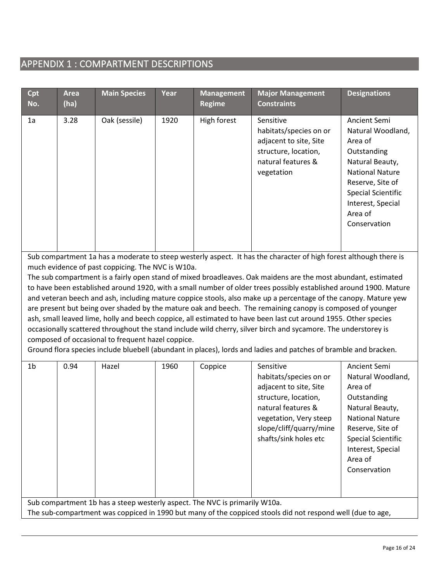# APPENDIX 1 : COMPARTMENT DESCRIPTIONS

| Cpt<br>No.     | <b>Area</b><br>(ha)                                                                                                                                                                                                                                                                                                                                                                                                                                                                                                                                                                                                                                                                                                                                                                                                                                                                                                                                                                                                                                         | <b>Main Species</b>                                                        | Year | <b>Management</b><br><b>Regime</b> | <b>Major Management</b><br><b>Constraints</b>                                                                                                                                             | <b>Designations</b>                                                                                                                                                                                       |  |  |
|----------------|-------------------------------------------------------------------------------------------------------------------------------------------------------------------------------------------------------------------------------------------------------------------------------------------------------------------------------------------------------------------------------------------------------------------------------------------------------------------------------------------------------------------------------------------------------------------------------------------------------------------------------------------------------------------------------------------------------------------------------------------------------------------------------------------------------------------------------------------------------------------------------------------------------------------------------------------------------------------------------------------------------------------------------------------------------------|----------------------------------------------------------------------------|------|------------------------------------|-------------------------------------------------------------------------------------------------------------------------------------------------------------------------------------------|-----------------------------------------------------------------------------------------------------------------------------------------------------------------------------------------------------------|--|--|
|                |                                                                                                                                                                                                                                                                                                                                                                                                                                                                                                                                                                                                                                                                                                                                                                                                                                                                                                                                                                                                                                                             |                                                                            |      |                                    |                                                                                                                                                                                           |                                                                                                                                                                                                           |  |  |
| 1a             | 3.28                                                                                                                                                                                                                                                                                                                                                                                                                                                                                                                                                                                                                                                                                                                                                                                                                                                                                                                                                                                                                                                        | Oak (sessile)                                                              | 1920 | High forest                        | Sensitive<br>habitats/species on or<br>adjacent to site, Site<br>structure, location,<br>natural features &<br>vegetation                                                                 | Ancient Semi<br>Natural Woodland,<br>Area of<br>Outstanding<br>Natural Beauty,<br><b>National Nature</b><br>Reserve, Site of<br><b>Special Scientific</b><br>Interest, Special<br>Area of<br>Conservation |  |  |
|                | Sub compartment 1a has a moderate to steep westerly aspect. It has the character of high forest although there is<br>much evidence of past coppicing. The NVC is W10a.<br>The sub compartment is a fairly open stand of mixed broadleaves. Oak maidens are the most abundant, estimated<br>to have been established around 1920, with a small number of older trees possibly established around 1900. Mature<br>and veteran beech and ash, including mature coppice stools, also make up a percentage of the canopy. Mature yew<br>are present but being over shaded by the mature oak and beech. The remaining canopy is composed of younger<br>ash, small leaved lime, holly and beech coppice, all estimated to have been last cut around 1955. Other species<br>occasionally scattered throughout the stand include wild cherry, silver birch and sycamore. The understorey is<br>composed of occasional to frequent hazel coppice.<br>Ground flora species include bluebell (abundant in places), lords and ladies and patches of bramble and bracken. |                                                                            |      |                                    |                                                                                                                                                                                           |                                                                                                                                                                                                           |  |  |
| 1 <sub>b</sub> | 0.94                                                                                                                                                                                                                                                                                                                                                                                                                                                                                                                                                                                                                                                                                                                                                                                                                                                                                                                                                                                                                                                        | Hazel                                                                      | 1960 | Coppice                            | Sensitive<br>habitats/species on or<br>adjacent to site, Site<br>structure, location,<br>natural features &<br>vegetation, Very steep<br>slope/cliff/quarry/mine<br>shafts/sink holes etc | Ancient Semi<br>Natural Woodland,<br>Area of<br>Outstanding<br>Natural Beauty,<br><b>National Nature</b><br>Reserve, Site of<br><b>Special Scientific</b><br>Interest, Special<br>Area of<br>Conservation |  |  |
|                |                                                                                                                                                                                                                                                                                                                                                                                                                                                                                                                                                                                                                                                                                                                                                                                                                                                                                                                                                                                                                                                             | Sub compartment 1b has a steep westerly aspect. The NVC is primarily W10a. |      |                                    | The sub-compartment was coppiced in 1990 but many of the coppiced stools did not respond well (due to age,                                                                                |                                                                                                                                                                                                           |  |  |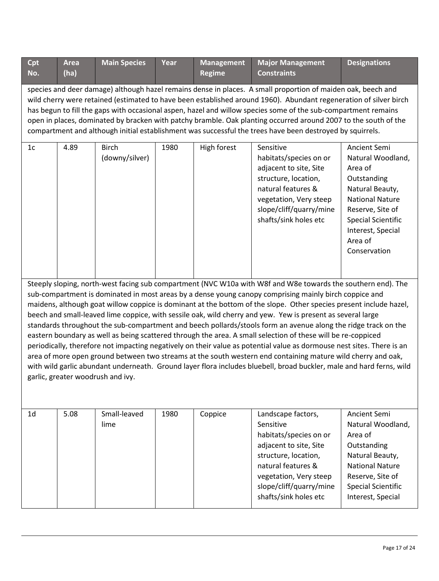| Cpt            | <b>Area</b>                                                                                                                                                                                                                                                                                                                                                                                                                                                                                                                                                                                                                                                                                                                                                                                                                                                                                                                                                                                                                                                                                          | <b>Main Species</b>            | Year | <b>Management</b> | <b>Major Management</b>                                                                                                                                                                                         | <b>Designations</b>                                                                                                                                                                                       |  |  |  |
|----------------|------------------------------------------------------------------------------------------------------------------------------------------------------------------------------------------------------------------------------------------------------------------------------------------------------------------------------------------------------------------------------------------------------------------------------------------------------------------------------------------------------------------------------------------------------------------------------------------------------------------------------------------------------------------------------------------------------------------------------------------------------------------------------------------------------------------------------------------------------------------------------------------------------------------------------------------------------------------------------------------------------------------------------------------------------------------------------------------------------|--------------------------------|------|-------------------|-----------------------------------------------------------------------------------------------------------------------------------------------------------------------------------------------------------------|-----------------------------------------------------------------------------------------------------------------------------------------------------------------------------------------------------------|--|--|--|
| No.            | (ha)                                                                                                                                                                                                                                                                                                                                                                                                                                                                                                                                                                                                                                                                                                                                                                                                                                                                                                                                                                                                                                                                                                 |                                |      | <b>Regime</b>     | <b>Constraints</b>                                                                                                                                                                                              |                                                                                                                                                                                                           |  |  |  |
|                | species and deer damage) although hazel remains dense in places. A small proportion of maiden oak, beech and<br>wild cherry were retained (estimated to have been established around 1960). Abundant regeneration of silver birch<br>has begun to fill the gaps with occasional aspen, hazel and willow species some of the sub-compartment remains<br>open in places, dominated by bracken with patchy bramble. Oak planting occurred around 2007 to the south of the<br>compartment and although initial establishment was successful the trees have been destroyed by squirrels.                                                                                                                                                                                                                                                                                                                                                                                                                                                                                                                  |                                |      |                   |                                                                                                                                                                                                                 |                                                                                                                                                                                                           |  |  |  |
| 1 <sub>c</sub> | 4.89                                                                                                                                                                                                                                                                                                                                                                                                                                                                                                                                                                                                                                                                                                                                                                                                                                                                                                                                                                                                                                                                                                 | <b>Birch</b><br>(downy/silver) | 1980 | High forest       | Sensitive<br>habitats/species on or<br>adjacent to site, Site<br>structure, location,<br>natural features &<br>vegetation, Very steep<br>slope/cliff/quarry/mine<br>shafts/sink holes etc                       | Ancient Semi<br>Natural Woodland,<br>Area of<br>Outstanding<br>Natural Beauty,<br><b>National Nature</b><br>Reserve, Site of<br><b>Special Scientific</b><br>Interest, Special<br>Area of<br>Conservation |  |  |  |
|                | Steeply sloping, north-west facing sub compartment (NVC W10a with W8f and W8e towards the southern end). The<br>sub-compartment is dominated in most areas by a dense young canopy comprising mainly birch coppice and<br>maidens, although goat willow coppice is dominant at the bottom of the slope. Other species present include hazel,<br>beech and small-leaved lime coppice, with sessile oak, wild cherry and yew. Yew is present as several large<br>standards throughout the sub-compartment and beech pollards/stools form an avenue along the ridge track on the<br>eastern boundary as well as being scattered through the area. A small selection of these will be re-coppiced<br>periodically, therefore not impacting negatively on their value as potential value as dormouse nest sites. There is an<br>area of more open ground between two streams at the south western end containing mature wild cherry and oak,<br>with wild garlic abundant underneath. Ground layer flora includes bluebell, broad buckler, male and hard ferns, wild<br>garlic, greater woodrush and ivy. |                                |      |                   |                                                                                                                                                                                                                 |                                                                                                                                                                                                           |  |  |  |
| 1 <sub>d</sub> | 5.08                                                                                                                                                                                                                                                                                                                                                                                                                                                                                                                                                                                                                                                                                                                                                                                                                                                                                                                                                                                                                                                                                                 | Small-leaved<br>lime           | 1980 | Coppice           | Landscape factors,<br>Sensitive<br>habitats/species on or<br>adjacent to site, Site<br>structure, location,<br>natural features &<br>vegetation, Very steep<br>slope/cliff/quarry/mine<br>shafts/sink holes etc | Ancient Semi<br>Natural Woodland,<br>Area of<br>Outstanding<br>Natural Beauty,<br><b>National Nature</b><br>Reserve, Site of<br><b>Special Scientific</b><br>Interest, Special                            |  |  |  |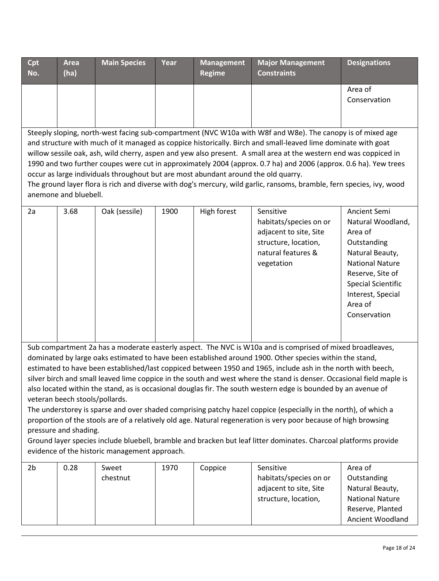| Cpt<br>No.                                                                                                                                                                                                                                                                                                                                                                                                                                                                                                                                                                                                                                                                                                                                                                                                                                                                                                                                                                                                                                             | <b>Area</b><br>(ha)                                                                                                                                                                                                                                                                                                                                                                                                                                                                                                                                                                                                                                                                                          | <b>Main Species</b> | Year | <b>Management</b><br><b>Regime</b> | <b>Major Management</b><br><b>Constraints</b>                                                                             | <b>Designations</b>                                                                                                                                                                                       |  |  |  |
|--------------------------------------------------------------------------------------------------------------------------------------------------------------------------------------------------------------------------------------------------------------------------------------------------------------------------------------------------------------------------------------------------------------------------------------------------------------------------------------------------------------------------------------------------------------------------------------------------------------------------------------------------------------------------------------------------------------------------------------------------------------------------------------------------------------------------------------------------------------------------------------------------------------------------------------------------------------------------------------------------------------------------------------------------------|--------------------------------------------------------------------------------------------------------------------------------------------------------------------------------------------------------------------------------------------------------------------------------------------------------------------------------------------------------------------------------------------------------------------------------------------------------------------------------------------------------------------------------------------------------------------------------------------------------------------------------------------------------------------------------------------------------------|---------------------|------|------------------------------------|---------------------------------------------------------------------------------------------------------------------------|-----------------------------------------------------------------------------------------------------------------------------------------------------------------------------------------------------------|--|--|--|
|                                                                                                                                                                                                                                                                                                                                                                                                                                                                                                                                                                                                                                                                                                                                                                                                                                                                                                                                                                                                                                                        |                                                                                                                                                                                                                                                                                                                                                                                                                                                                                                                                                                                                                                                                                                              |                     |      |                                    |                                                                                                                           | Area of<br>Conservation                                                                                                                                                                                   |  |  |  |
|                                                                                                                                                                                                                                                                                                                                                                                                                                                                                                                                                                                                                                                                                                                                                                                                                                                                                                                                                                                                                                                        | Steeply sloping, north-west facing sub-compartment (NVC W10a with W8f and W8e). The canopy is of mixed age<br>and structure with much of it managed as coppice historically. Birch and small-leaved lime dominate with goat<br>willow sessile oak, ash, wild cherry, aspen and yew also present. A small area at the western end was coppiced in<br>1990 and two further coupes were cut in approximately 2004 (approx. 0.7 ha) and 2006 (approx. 0.6 ha). Yew trees<br>occur as large individuals throughout but are most abundant around the old quarry.<br>The ground layer flora is rich and diverse with dog's mercury, wild garlic, ransoms, bramble, fern species, ivy, wood<br>anemone and bluebell. |                     |      |                                    |                                                                                                                           |                                                                                                                                                                                                           |  |  |  |
| 2a                                                                                                                                                                                                                                                                                                                                                                                                                                                                                                                                                                                                                                                                                                                                                                                                                                                                                                                                                                                                                                                     | 3.68                                                                                                                                                                                                                                                                                                                                                                                                                                                                                                                                                                                                                                                                                                         | Oak (sessile)       | 1900 | High forest                        | Sensitive<br>habitats/species on or<br>adjacent to site, Site<br>structure, location,<br>natural features &<br>vegetation | Ancient Semi<br>Natural Woodland,<br>Area of<br>Outstanding<br>Natural Beauty,<br><b>National Nature</b><br>Reserve, Site of<br><b>Special Scientific</b><br>Interest, Special<br>Area of<br>Conservation |  |  |  |
| Sub compartment 2a has a moderate easterly aspect. The NVC is W10a and is comprised of mixed broadleaves,<br>dominated by large oaks estimated to have been established around 1900. Other species within the stand,<br>estimated to have been established/last coppiced between 1950 and 1965, include ash in the north with beech,<br>silver birch and small leaved lime coppice in the south and west where the stand is denser. Occasional field maple is<br>also located within the stand, as is occasional douglas fir. The south western edge is bounded by an avenue of<br>veteran beech stools/pollards.<br>The understorey is sparse and over shaded comprising patchy hazel coppice (especially in the north), of which a<br>proportion of the stools are of a relatively old age. Natural regeneration is very poor because of high browsing<br>pressure and shading.<br>Ground layer species include bluebell, bramble and bracken but leaf litter dominates. Charcoal platforms provide<br>evidence of the historic management approach. |                                                                                                                                                                                                                                                                                                                                                                                                                                                                                                                                                                                                                                                                                                              |                     |      |                                    |                                                                                                                           |                                                                                                                                                                                                           |  |  |  |
| 2 <sub>b</sub>                                                                                                                                                                                                                                                                                                                                                                                                                                                                                                                                                                                                                                                                                                                                                                                                                                                                                                                                                                                                                                         | 0.28                                                                                                                                                                                                                                                                                                                                                                                                                                                                                                                                                                                                                                                                                                         | Sweet<br>chestnut   | 1970 | Coppice                            | Sensitive<br>habitats/species on or<br>adjacent to site, Site<br>structure, location,                                     | Area of<br>Outstanding<br>Natural Beauty,<br><b>National Nature</b><br>Reserve, Planted<br>Ancient Woodland                                                                                               |  |  |  |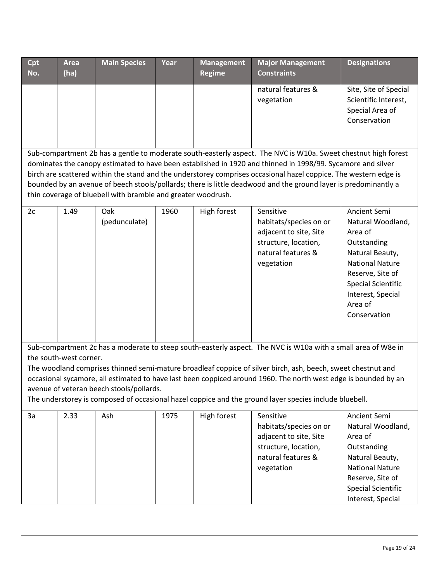| Cpt | <b>Area</b>                                                                                                                                                                                                                                                                                                                                                                                                                                                                                                                          | <b>Main Species</b>  | Year | <b>Management</b> | <b>Major Management</b>                                                                                                   | <b>Designations</b>                                                                                                                                                                                       |  |  |
|-----|--------------------------------------------------------------------------------------------------------------------------------------------------------------------------------------------------------------------------------------------------------------------------------------------------------------------------------------------------------------------------------------------------------------------------------------------------------------------------------------------------------------------------------------|----------------------|------|-------------------|---------------------------------------------------------------------------------------------------------------------------|-----------------------------------------------------------------------------------------------------------------------------------------------------------------------------------------------------------|--|--|
| No. | (ha)                                                                                                                                                                                                                                                                                                                                                                                                                                                                                                                                 |                      |      | <b>Regime</b>     | <b>Constraints</b>                                                                                                        |                                                                                                                                                                                                           |  |  |
|     |                                                                                                                                                                                                                                                                                                                                                                                                                                                                                                                                      |                      |      |                   | natural features &<br>vegetation                                                                                          | Site, Site of Special<br>Scientific Interest,<br>Special Area of<br>Conservation                                                                                                                          |  |  |
|     | Sub-compartment 2b has a gentle to moderate south-easterly aspect. The NVC is W10a. Sweet chestnut high forest<br>dominates the canopy estimated to have been established in 1920 and thinned in 1998/99. Sycamore and silver<br>birch are scattered within the stand and the understorey comprises occasional hazel coppice. The western edge is<br>bounded by an avenue of beech stools/pollards; there is little deadwood and the ground layer is predominantly a<br>thin coverage of bluebell with bramble and greater woodrush. |                      |      |                   |                                                                                                                           |                                                                                                                                                                                                           |  |  |
| 2c  | 1.49                                                                                                                                                                                                                                                                                                                                                                                                                                                                                                                                 | Oak<br>(pedunculate) | 1960 | High forest       | Sensitive<br>habitats/species on or<br>adjacent to site, Site<br>structure, location,<br>natural features &<br>vegetation | Ancient Semi<br>Natural Woodland,<br>Area of<br>Outstanding<br>Natural Beauty,<br><b>National Nature</b><br>Reserve, Site of<br><b>Special Scientific</b><br>Interest, Special<br>Area of<br>Conservation |  |  |
|     | Sub-compartment 2c has a moderate to steep south-easterly aspect. The NVC is W10a with a small area of W8e in<br>the south-west corner.<br>The woodland comprises thinned semi-mature broadleaf coppice of silver birch, ash, beech, sweet chestnut and<br>occasional sycamore, all estimated to have last been coppiced around 1960. The north west edge is bounded by an<br>avenue of veteran beech stools/pollards.<br>The understorey is composed of occasional hazel coppice and the ground layer species include bluebell.     |                      |      |                   |                                                                                                                           |                                                                                                                                                                                                           |  |  |
| 3a  | 2.33                                                                                                                                                                                                                                                                                                                                                                                                                                                                                                                                 | Ash                  | 1975 | High forest       | Sensitive<br>habitats/species on or<br>adjacent to site, Site<br>structure, location,<br>natural features &<br>vegetation | Ancient Semi<br>Natural Woodland,<br>Area of<br>Outstanding<br>Natural Beauty,<br><b>National Nature</b><br>Reserve, Site of<br><b>Special Scientific</b><br>Interest, Special                            |  |  |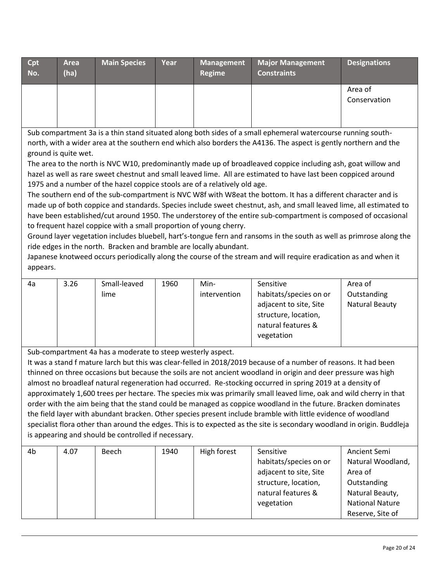| <b>Cpt</b><br>No. | <b>Area</b><br>(ha) | <b>Main Species</b> | Year | <b>Management</b><br>Regime | <b>Major Management</b><br><b>Constraints</b> | <b>Designations</b>     |
|-------------------|---------------------|---------------------|------|-----------------------------|-----------------------------------------------|-------------------------|
|                   |                     |                     |      |                             |                                               | Area of<br>Conservation |

Sub compartment 3a is a thin stand situated along both sides of a small ephemeral watercourse running southnorth, with a wider area at the southern end which also borders the A4136. The aspect is gently northern and the ground is quite wet.

The area to the north is NVC W10, predominantly made up of broadleaved coppice including ash, goat willow and hazel as well as rare sweet chestnut and small leaved lime. All are estimated to have last been coppiced around 1975 and a number of the hazel coppice stools are of a relatively old age.

The southern end of the sub-compartment is NVC W8f with W8eat the bottom. It has a different character and is made up of both coppice and standards. Species include sweet chestnut, ash, and small leaved lime, all estimated to have been established/cut around 1950. The understorey of the entire sub-compartment is composed of occasional to frequent hazel coppice with a small proportion of young cherry.

Ground layer vegetation includes bluebell, hart's-tongue fern and ransoms in the south as well as primrose along the ride edges in the north. Bracken and bramble are locally abundant.

Japanese knotweed occurs periodically along the course of the stream and will require eradication as and when it appears.

| 4a | 3.26 | Small-leaved | 1960 | Min-         | Sensitive              | Area of               |
|----|------|--------------|------|--------------|------------------------|-----------------------|
|    |      | lime         |      | intervention | habitats/species on or | Outstanding           |
|    |      |              |      |              | adjacent to site, Site | <b>Natural Beauty</b> |
|    |      |              |      |              | structure, location,   |                       |
|    |      |              |      |              | natural features &     |                       |
|    |      |              |      |              | vegetation             |                       |
|    |      |              |      |              |                        |                       |

Sub-compartment 4a has a moderate to steep westerly aspect.

It was a stand f mature larch but this was clear-felled in 2018/2019 because of a number of reasons. It had been thinned on three occasions but because the soils are not ancient woodland in origin and deer pressure was high almost no broadleaf natural regeneration had occurred. Re-stocking occurred in spring 2019 at a density of approximately 1,600 trees per hectare. The species mix was primarily small leaved lime, oak and wild cherry in that order with the aim being that the stand could be managed as coppice woodland in the future. Bracken dominates the field layer with abundant bracken. Other species present include bramble with little evidence of woodland specialist flora other than around the edges. This is to expected as the site is secondary woodland in origin. Buddleja is appearing and should be controlled if necessary.

| 4b | 4.07 | Beech | 1940 | High forest | Sensitive              | Ancient Semi           |
|----|------|-------|------|-------------|------------------------|------------------------|
|    |      |       |      |             | habitats/species on or | Natural Woodland,      |
|    |      |       |      |             | adjacent to site, Site | Area of                |
|    |      |       |      |             | structure, location,   | Outstanding            |
|    |      |       |      |             | natural features &     | Natural Beauty,        |
|    |      |       |      |             | vegetation             | <b>National Nature</b> |
|    |      |       |      |             |                        | Reserve, Site of       |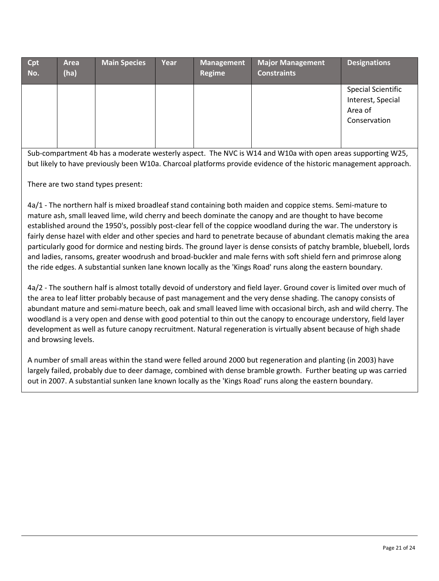| Cpt<br>No. | Area<br>(ha) | <b>Main Species</b> | Year | <b>Management</b><br>Regime | Major Management<br><b>Constraints</b> | <b>Designations</b>                                                       |
|------------|--------------|---------------------|------|-----------------------------|----------------------------------------|---------------------------------------------------------------------------|
|            |              |                     |      |                             |                                        | <b>Special Scientific</b><br>Interest, Special<br>Area of<br>Conservation |

Sub-compartment 4b has a moderate westerly aspect. The NVC is W14 and W10a with open areas supporting W25, but likely to have previously been W10a. Charcoal platforms provide evidence of the historic management approach.

There are two stand types present:

4a/1 - The northern half is mixed broadleaf stand containing both maiden and coppice stems. Semi-mature to mature ash, small leaved lime, wild cherry and beech dominate the canopy and are thought to have become established around the 1950's, possibly post-clear fell of the coppice woodland during the war. The understory is fairly dense hazel with elder and other species and hard to penetrate because of abundant clematis making the area particularly good for dormice and nesting birds. The ground layer is dense consists of patchy bramble, bluebell, lords and ladies, ransoms, greater woodrush and broad-buckler and male ferns with soft shield fern and primrose along the ride edges. A substantial sunken lane known locally as the 'Kings Road' runs along the eastern boundary.

4a/2 - The southern half is almost totally devoid of understory and field layer. Ground cover is limited over much of the area to leaf litter probably because of past management and the very dense shading. The canopy consists of abundant mature and semi-mature beech, oak and small leaved lime with occasional birch, ash and wild cherry. The woodland is a very open and dense with good potential to thin out the canopy to encourage understory, field layer development as well as future canopy recruitment. Natural regeneration is virtually absent because of high shade and browsing levels.

A number of small areas within the stand were felled around 2000 but regeneration and planting (in 2003) have largely failed, probably due to deer damage, combined with dense bramble growth. Further beating up was carried out in 2007. A substantial sunken lane known locally as the 'Kings Road' runs along the eastern boundary.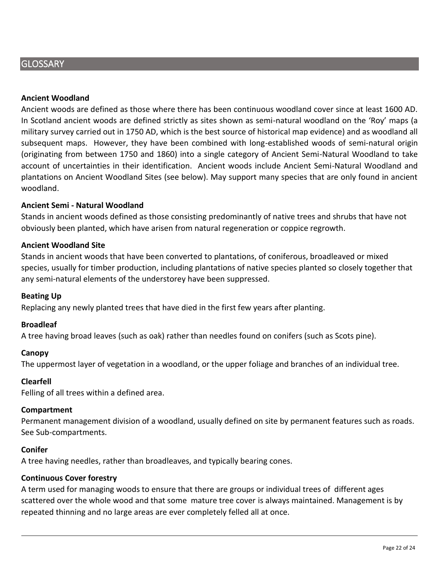# **GLOSSARY**

### **Ancient Woodland**

Ancient woods are defined as those where there has been continuous woodland cover since at least 1600 AD. In Scotland ancient woods are defined strictly as sites shown as semi-natural woodland on the 'Roy' maps (a military survey carried out in 1750 AD, which is the best source of historical map evidence) and as woodland all subsequent maps. However, they have been combined with long-established woods of semi-natural origin (originating from between 1750 and 1860) into a single category of Ancient Semi-Natural Woodland to take account of uncertainties in their identification. Ancient woods include Ancient Semi-Natural Woodland and plantations on Ancient Woodland Sites (see below). May support many species that are only found in ancient woodland.

### **Ancient Semi - Natural Woodland**

Stands in ancient woods defined as those consisting predominantly of native trees and shrubs that have not obviously been planted, which have arisen from natural regeneration or coppice regrowth.

### **Ancient Woodland Site**

Stands in ancient woods that have been converted to plantations, of coniferous, broadleaved or mixed species, usually for timber production, including plantations of native species planted so closely together that any semi-natural elements of the understorey have been suppressed.

### **Beating Up**

Replacing any newly planted trees that have died in the first few years after planting.

### **Broadleaf**

A tree having broad leaves (such as oak) rather than needles found on conifers (such as Scots pine).

### **Canopy**

The uppermost layer of vegetation in a woodland, or the upper foliage and branches of an individual tree.

### **Clearfell**

Felling of all trees within a defined area.

### **Compartment**

Permanent management division of a woodland, usually defined on site by permanent features such as roads. See Sub-compartments.

### **Conifer**

A tree having needles, rather than broadleaves, and typically bearing cones.

### **Continuous Cover forestry**

A term used for managing woods to ensure that there are groups or individual trees of different ages scattered over the whole wood and that some mature tree cover is always maintained. Management is by repeated thinning and no large areas are ever completely felled all at once.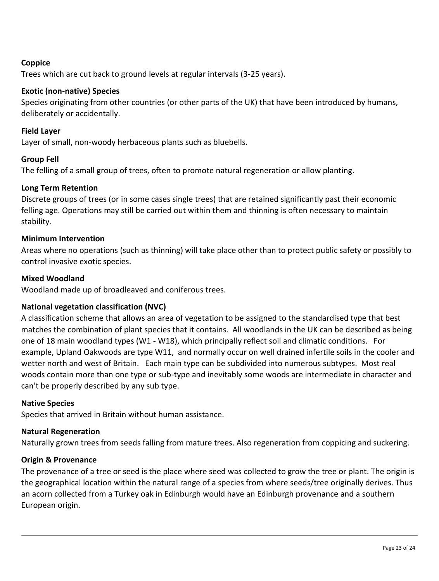# **Coppice**

Trees which are cut back to ground levels at regular intervals (3-25 years).

# **Exotic (non-native) Species**

Species originating from other countries (or other parts of the UK) that have been introduced by humans, deliberately or accidentally.

# **Field Layer**

Layer of small, non-woody herbaceous plants such as bluebells.

# **Group Fell**

The felling of a small group of trees, often to promote natural regeneration or allow planting.

# **Long Term Retention**

Discrete groups of trees (or in some cases single trees) that are retained significantly past their economic felling age. Operations may still be carried out within them and thinning is often necessary to maintain stability.

# **Minimum Intervention**

Areas where no operations (such as thinning) will take place other than to protect public safety or possibly to control invasive exotic species.

# **Mixed Woodland**

Woodland made up of broadleaved and coniferous trees.

# **National vegetation classification (NVC)**

A classification scheme that allows an area of vegetation to be assigned to the standardised type that best matches the combination of plant species that it contains. All woodlands in the UK can be described as being one of 18 main woodland types (W1 - W18), which principally reflect soil and climatic conditions. For example, Upland Oakwoods are type W11, and normally occur on well drained infertile soils in the cooler and wetter north and west of Britain. Each main type can be subdivided into numerous subtypes. Most real woods contain more than one type or sub-type and inevitably some woods are intermediate in character and can't be properly described by any sub type.

# **Native Species**

Species that arrived in Britain without human assistance.

# **Natural Regeneration**

Naturally grown trees from seeds falling from mature trees. Also regeneration from coppicing and suckering.

# **Origin & Provenance**

The provenance of a tree or seed is the place where seed was collected to grow the tree or plant. The origin is the geographical location within the natural range of a species from where seeds/tree originally derives. Thus an acorn collected from a Turkey oak in Edinburgh would have an Edinburgh provenance and a southern European origin.